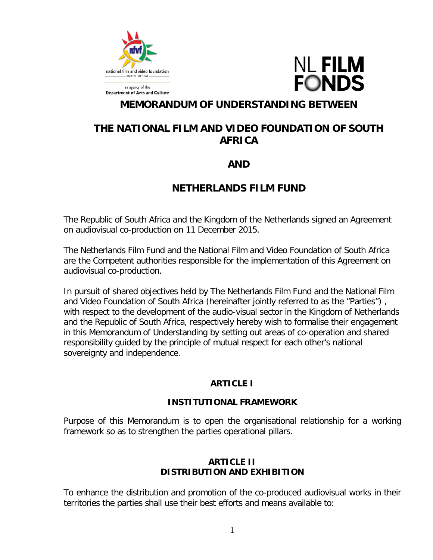

**Department of Arts and Culture** 

**NL FILM FONDS** 

# **MEMORANDUM OF UNDERSTANDING BETWEEN**

# **THE NATIONAL FILM AND VIDEO FOUNDATION OF SOUTH AFRICA**

# **AND**

# **NETHERLANDS FILM FUND**

The Republic of South Africa and the Kingdom of the Netherlands signed an Agreement on audiovisual co-production on 11 December 2015.

The Netherlands Film Fund and the National Film and Video Foundation of South Africa are the Competent authorities responsible for the implementation of this Agreement on audiovisual co-production.

In pursuit of shared objectives held by The Netherlands Film Fund and the National Film and Video Foundation of South Africa (hereinafter jointly referred to as the "Parties") , with respect to the development of the audio-visual sector in the Kingdom of Netherlands and the Republic of South Africa, respectively hereby wish to formalise their engagement in this Memorandum of Understanding by setting out areas of co-operation and shared responsibility guided by the principle of mutual respect for each other's national sovereignty and independence.

### **ARTICLE I**

### **INSTITUTIONAL FRAMEWORK**

Purpose of this Memorandum is to open the organisational relationship for a working framework so as to strengthen the parties operational pillars.

## **ARTICLE II DISTRIBUTION AND EXHIBITION**

To enhance the distribution and promotion of the co-produced audiovisual works in their territories the parties shall use their best efforts and means available to: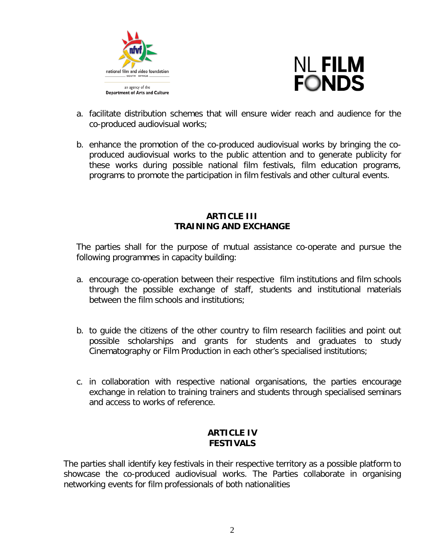



- a. facilitate distribution schemes that will ensure wider reach and audience for the co-produced audiovisual works;
- b. enhance the promotion of the co-produced audiovisual works by bringing the coproduced audiovisual works to the public attention and to generate publicity for these works during possible national film festivals, film education programs, programs to promote the participation in film festivals and other cultural events.

#### **ARTICLE III TRAINING AND EXCHANGE**

The parties shall for the purpose of mutual assistance co-operate and pursue the following programmes in capacity building:

- a. encourage co-operation between their respective film institutions and film schools through the possible exchange of staff, students and institutional materials between the film schools and institutions;
- b. to guide the citizens of the other country to film research facilities and point out possible scholarships and grants for students and graduates to study Cinematography or Film Production in each other's specialised institutions;
- c. in collaboration with respective national organisations, the parties encourage exchange in relation to training trainers and students through specialised seminars and access to works of reference.

### **ARTICLE IV FESTIVALS**

The parties shall identify key festivals in their respective territory as a possible platform to showcase the co-produced audiovisual works. The Parties collaborate in organising networking events for film professionals of both nationalities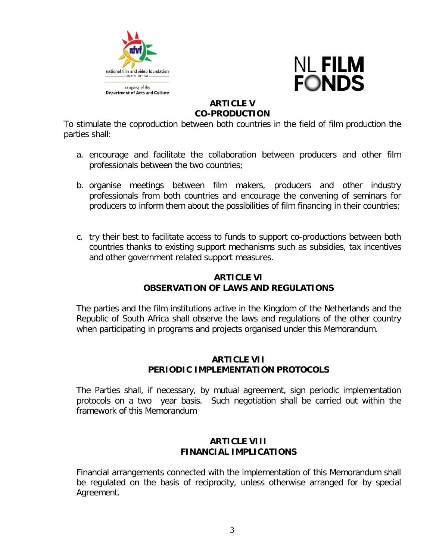



# **ARTICLE V CO-PRODUCTION**

To stimulate the coproduction between both countries in the field of film production the parties shall:

- a. encourage and facilitate the collaboration between producers and other film professionals between the two countries;
- b. organise meetings between film makers, producers and other industry professionals from both countries and encourage the convening of seminars for producers to inform them about the possibilities of film financing in their countries;
- c. try their best to facilitate access to funds to support co-productions between both countries thanks to existing support mechanisms such as subsidies, tax incentives and other government related support measures.

# **ARTICLE VI OBSERVATION OF LAWS AND REGULATIONS**

The parties and the film institutions active in the Kingdom of the Netherlands and the Republic of South Africa shall observe the laws and regulations of the other country when participating in programs and projects organised under this Memorandum.

#### **ARTICLE VII PERIODIC IMPLEMENTATION PROTOCOLS**

The Parties shall, if necessary, by mutual agreement, sign periodic implementation protocols on a two year basis. Such negotiation shall be carried out within the framework of this Memorandum

## **ARTICLE VIII FINANCIAL IMPLICATIONS**

Financial arrangements connected with the implementation of this Memorandum shall be regulated on the basis of reciprocity, unless otherwise arranged for by special Agreement.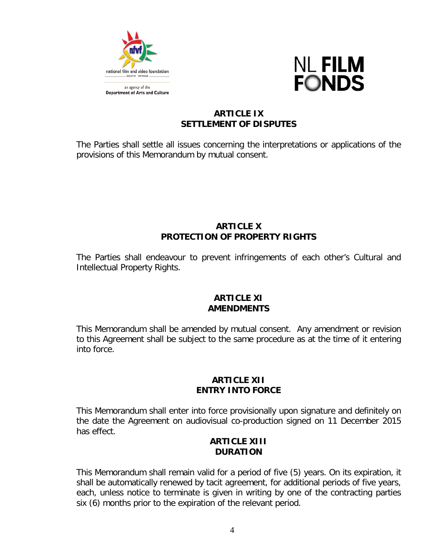



## **ARTICLE IX SETTLEMENT OF DISPUTES**

The Parties shall settle all issues concerning the interpretations or applications of the provisions of this Memorandum by mutual consent.

### **ARTICLE X PROTECTION OF PROPERTY RIGHTS**

The Parties shall endeavour to prevent infringements of each other's Cultural and Intellectual Property Rights.

#### **ARTICLE XI AMENDMENTS**

This Memorandum shall be amended by mutual consent. Any amendment or revision to this Agreement shall be subject to the same procedure as at the time of it entering into force.

## **ARTICLE XII ENTRY INTO FORCE**

This Memorandum shall enter into force provisionally upon signature and definitely on the date the Agreement on audiovisual co-production signed on 11 December 2015 has effect.

### **ARTICLE XIII DURATION**

This Memorandum shall remain valid for a period of five (5) years. On its expiration, it shall be automatically renewed by tacit agreement, for additional periods of five years, each, unless notice to terminate is given in writing by one of the contracting parties six (6) months prior to the expiration of the relevant period.